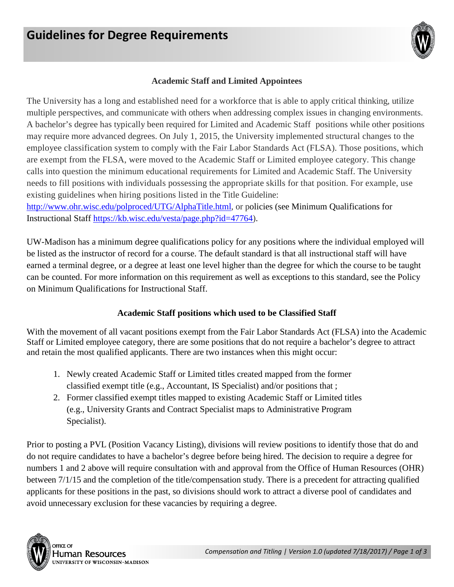

# **Academic Staff and Limited Appointees**

The University has a long and established need for a workforce that is able to apply critical thinking, utilize multiple perspectives, and communicate with others when addressing complex issues in changing environments. A bachelor's degree has typically been required for Limited and Academic Staff positions while other positions may require more advanced degrees. On July 1, 2015, the University implemented structural changes to the employee classification system to comply with the Fair Labor Standards Act (FLSA). Those positions, which are exempt from the FLSA, were moved to the Academic Staff or Limited employee category. This change calls into question the minimum educational requirements for Limited and Academic Staff. The University needs to fill positions with individuals possessing the appropriate skills for that position. For example, use existing guidelines when hiring positions listed in the Title Guideline:

[http://www.ohr.wisc.edu/polproced/UTG/AlphaTitle.html,](http://www.ohr.wisc.edu/polproced/UTG/AlphaTitle.html) or policies (see Minimum Qualifications for Instructional Staff [https://kb.wisc.edu/vesta/page.php?id=47764\)](https://kb.wisc.edu/vesta/page.php?id=47764).

UW-Madison has a minimum degree qualifications policy for any positions where the individual employed will be listed as the instructor of record for a course. The default standard is that all instructional staff will have earned a terminal degree, or a degree at least one level higher than the degree for which the course to be taught can be counted. For more information on this requirement as well as exceptions to this standard, see the Policy on Minimum Qualifications for Instructional Staff.

#### **Academic Staff positions which used to be Classified Staff**

With the movement of all vacant positions exempt from the Fair Labor Standards Act (FLSA) into the Academic Staff or Limited employee category, there are some positions that do not require a bachelor's degree to attract and retain the most qualified applicants. There are two instances when this might occur:

- 1. Newly created Academic Staff or Limited titles created mapped from the former classified exempt title (e.g., Accountant, IS Specialist) and/or positions that ;
- 2. Former classified exempt titles mapped to existing Academic Staff or Limited titles (e.g., University Grants and Contract Specialist maps to Administrative Program Specialist).

Prior to posting a PVL (Position Vacancy Listing), divisions will review positions to identify those that do and do not require candidates to have a bachelor's degree before being hired. The decision to require a degree for numbers 1 and 2 above will require consultation with and approval from the Office of Human Resources (OHR) between 7/1/15 and the completion of the title/compensation study. There is a precedent for attracting qualified applicants for these positions in the past, so divisions should work to attract a diverse pool of candidates and avoid unnecessary exclusion for these vacancies by requiring a degree.



Human Resources UNIVERSITY OF WISCONSIN-MADISON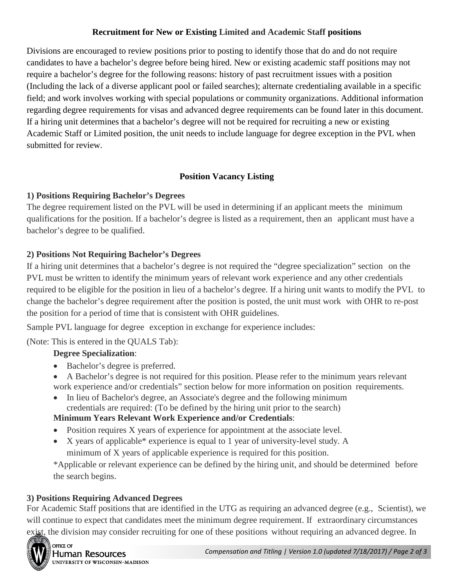# **Recruitment for New or Existing Limited and Academic Staff positions**

Divisions are encouraged to review positions prior to posting to identify those that do and do not require candidates to have a bachelor's degree before being hired. New or existing academic staff positions may not require a bachelor's degree for the following reasons: history of past recruitment issues with a position (Including the lack of a diverse applicant pool or failed searches); alternate credentialing available in a specific field; and work involves working with special populations or community organizations. Additional information regarding degree requirements for visas and advanced degree requirements can be found later in this document. If a hiring unit determines that a bachelor's degree will not be required for recruiting a new or existing Academic Staff or Limited position, the unit needs to include language for degree exception in the PVL when submitted for review.

#### **Position Vacancy Listing**

# **1) Positions Requiring Bachelor's Degrees**

The degree requirement listed on the PVL will be used in determining if an applicant meets the minimum qualifications for the position. If a bachelor's degree is listed as a requirement, then an applicant must have a bachelor's degree to be qualified.

#### **2) Positions Not Requiring Bachelor's Degrees**

If a hiring unit determines that a bachelor's degree is not required the "degree specialization" section on the PVL must be written to identify the minimum years of relevant work experience and any other credentials required to be eligible for the position in lieu of a bachelor's degree. If a hiring unit wants to modify the PVL to change the bachelor's degree requirement after the position is posted, the unit must work with OHR to re-post the position for a period of time that is consistent with OHR guidelines.

Sample PVL language for degree exception in exchange for experience includes:

(Note: This is entered in the QUALS Tab):

# **Degree Specialization**:

- Bachelor's degree is preferred.
- A Bachelor's degree is not required for this position. Please refer to the minimum years relevant work experience and/or credentials" section below for more information on position requirements.
- In lieu of Bachelor's degree, an Associate's degree and the following minimum credentials are required: (To be defined by the hiring unit prior to the search)

# **Minimum Years Relevant Work Experience and/or Credentials**:

- Position requires X years of experience for appointment at the associate level.
- X years of applicable\* experience is equal to 1 year of university-level study. A minimum of X years of applicable experience is required for this position.

\*Applicable or relevant experience can be defined by the hiring unit, and should be determined before the search begins.

#### **3) Positions Requiring Advanced Degrees**

For Academic Staff positions that are identified in the UTG as requiring an advanced degree (e.g., Scientist), we will continue to expect that candidates meet the minimum degree requirement. If extraordinary circumstances exist, the division may consider recruiting for one of these positions without requiring an advanced degree. In